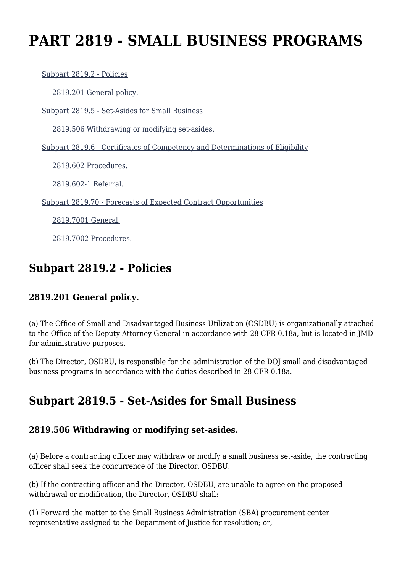# **PART 2819 - SMALL BUSINESS PROGRAMS**

[Subpart 2819.2 - Policies](https://login.acquisition.gov/%5Brp:link:jar-part-2819%5D#Subpart_2819_2_T48_601163181)

[2819.201 General policy.](https://login.acquisition.gov/%5Brp:link:jar-part-2819%5D#Section_2819_201_T48_60116318111)

[Subpart 2819.5 - Set-Asides for Small Business](https://login.acquisition.gov/%5Brp:link:jar-part-2819%5D#Subpart_2819_5_T48_601163182)

[2819.506 Withdrawing or modifying set-asides.](https://login.acquisition.gov/%5Brp:link:jar-part-2819%5D#Section_2819_506_T48_60116318211)

[Subpart 2819.6 - Certificates of Competency and Determinations of Eligibility](https://login.acquisition.gov/%5Brp:link:jar-part-2819%5D#Subpart_2819_6_T48_601163183)

[2819.602 Procedures.](https://login.acquisition.gov/%5Brp:link:jar-part-2819%5D#Section_2819_602_T48_60116318311)

[2819.602-1 Referral.](https://login.acquisition.gov/%5Brp:link:jar-part-2819%5D#Section_2819_602_1_T48_60116318312)

[Subpart 2819.70 - Forecasts of Expected Contract Opportunities](https://login.acquisition.gov/%5Brp:link:jar-part-2819%5D#Subpart_2819_70_T48_601163184)

[2819.7001 General.](https://login.acquisition.gov/%5Brp:link:jar-part-2819%5D#Section_2819_7001_T48_60116318411)

[2819.7002 Procedures.](https://login.acquisition.gov/%5Brp:link:jar-part-2819%5D#Section_2819_7002_T48_60116318412)

## **Subpart 2819.2 - Policies**

### **2819.201 General policy.**

(a) The Office of Small and Disadvantaged Business Utilization (OSDBU) is organizationally attached to the Office of the Deputy Attorney General in accordance with 28 CFR 0.18a, but is located in JMD for administrative purposes.

(b) The Director, OSDBU, is responsible for the administration of the DOJ small and disadvantaged business programs in accordance with the duties described in 28 CFR 0.18a.

# **Subpart 2819.5 - Set-Asides for Small Business**

### **2819.506 Withdrawing or modifying set-asides.**

(a) Before a contracting officer may withdraw or modify a small business set-aside, the contracting officer shall seek the concurrence of the Director, OSDBU.

(b) If the contracting officer and the Director, OSDBU, are unable to agree on the proposed withdrawal or modification, the Director, OSDBU shall:

(1) Forward the matter to the Small Business Administration (SBA) procurement center representative assigned to the Department of Justice for resolution; or,